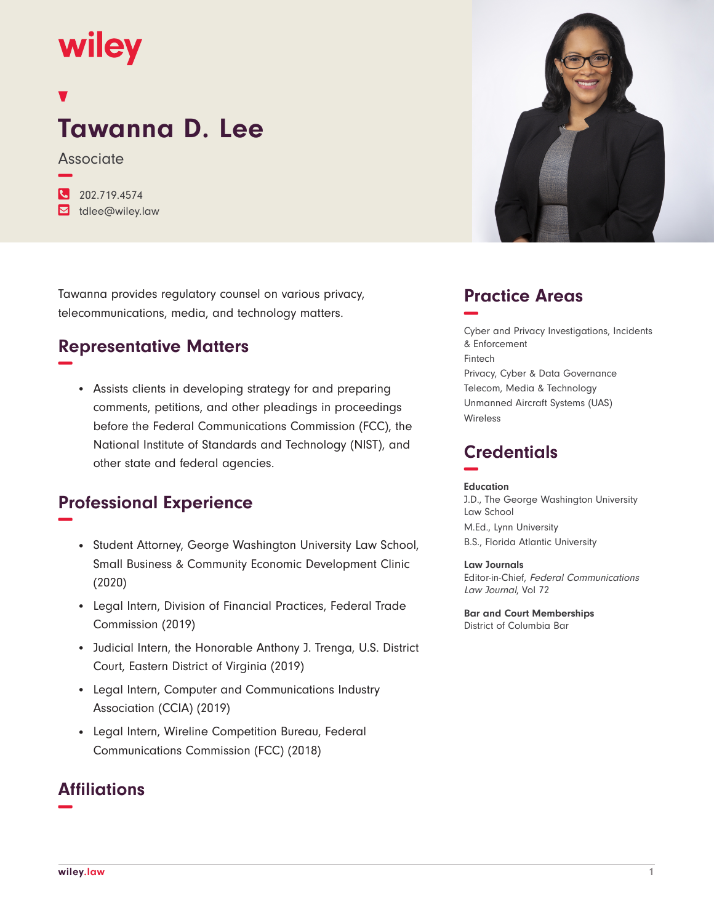## wiley

# **Tawanna D. Lee**

**Associate −**

**�** 202.719.4574

**�** tdlee@wiley.law

Tawanna provides regulatory counsel on various privacy, telecommunications, media, and technology matters.

### **Representative Matters −**

• Assists clients in developing strategy for and preparing comments, petitions, and other pleadings in proceedings before the Federal Communications Commission (FCC), the National Institute of Standards and Technology (NIST), and other state and federal agencies.

### **Professional Experience −**

- Student Attorney, George Washington University Law School, Small Business & Community Economic Development Clinic (2020)
- Legal Intern, Division of Financial Practices, Federal Trade Commission (2019)
- Judicial Intern, the Honorable Anthony J. Trenga, U.S. District Court, Eastern District of Virginia (2019)
- Legal Intern, Computer and Communications Industry Association (CCIA) (2019)
- Legal Intern, Wireline Competition Bureau, Federal Communications Commission (FCC) (2018)

#### **Affiliations −**



#### **Practice Areas −**

Cyber and Privacy Investigations, Incidents & Enforcement Fintech Privacy, Cyber & Data Governance Telecom, Media & Technology Unmanned Aircraft Systems (UAS) Wireless

### **Credentials −**

#### **Education**

J.D., The George Washington University Law School M.Ed., Lynn University B.S., Florida Atlantic University

**Law Journals** Editor-in-Chief, Federal Communications Law Journal, Vol 72

**Bar and Court Memberships** District of Columbia Bar